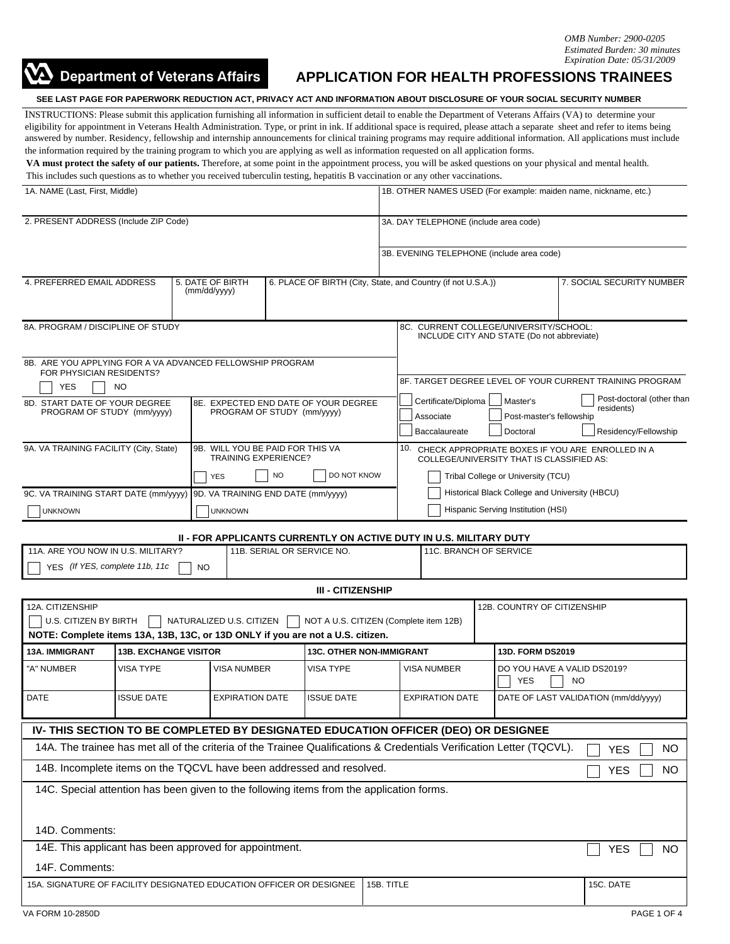

## **APPLICATION FOR HEALTH PROFESSIONS TRAINEES**

**SEE LAST PAGE FOR PAPERWORK REDUCTION ACT, PRIVACY ACT AND INFORMATION ABOUT DISCLOSURE OF YOUR SOCIAL SECURITY NUMBER**

INSTRUCTIONS: Please submit this application furnishing all information in sufficient detail to enable the Department of Veterans Affairs (VA) to determine your eligibility for appointment in Veterans Health Administration. Type, or print in ink. If additional space is required, please attach a separate sheet and refer to items being answered by number. Residency, fellowship and internship announcements for clinical training programs may require additional information. All applications must include the information required by the training program to which you are applying as well as information requested on all application forms.

**VA must protect the safety of our patients.** Therefore, at some point in the appointment process, you will be asked questions on your physical and mental health. This includes such questions as to whether you received tuberculin testing, hepatitis B vaccination or any other vaccinations.

| 1A. NAME (Last, First, Middle)                                                                                              |                   |                                                                         |                                        |                                       | 1B. OTHER NAMES USED (For example: maiden name, nickname, etc.)                                   |                                                                                                                                                                          |                                    |                        |                                                 |                                           |                         |
|-----------------------------------------------------------------------------------------------------------------------------|-------------------|-------------------------------------------------------------------------|----------------------------------------|---------------------------------------|---------------------------------------------------------------------------------------------------|--------------------------------------------------------------------------------------------------------------------------------------------------------------------------|------------------------------------|------------------------|-------------------------------------------------|-------------------------------------------|-------------------------|
| 2. PRESENT ADDRESS (Include ZIP Code)                                                                                       |                   |                                                                         |                                        | 3A. DAY TELEPHONE (include area code) |                                                                                                   |                                                                                                                                                                          |                                    |                        |                                                 |                                           |                         |
|                                                                                                                             |                   |                                                                         |                                        |                                       |                                                                                                   |                                                                                                                                                                          |                                    |                        |                                                 | 3B. EVENING TELEPHONE (include area code) |                         |
|                                                                                                                             |                   |                                                                         |                                        |                                       |                                                                                                   |                                                                                                                                                                          |                                    |                        |                                                 |                                           |                         |
| 4. PREFERRED EMAIL ADDRESS<br>5. DATE OF BIRTH<br>(mm/dd/yyyy)                                                              |                   |                                                                         |                                        |                                       | 6. PLACE OF BIRTH (City, State, and Country (if not U.S.A.))<br>7. SOCIAL SECURITY NUMBER         |                                                                                                                                                                          |                                    |                        |                                                 |                                           |                         |
| 8A. PROGRAM / DISCIPLINE OF STUDY                                                                                           |                   |                                                                         |                                        |                                       | 8C. CURRENT COLLEGE/UNIVERSITY/SCHOOL:<br>INCLUDE CITY AND STATE (Do not abbreviate)              |                                                                                                                                                                          |                                    |                        |                                                 |                                           |                         |
| 8B. ARE YOU APPLYING FOR A VA ADVANCED FELLOWSHIP PROGRAM<br>FOR PHYSICIAN RESIDENTS?<br><b>YES</b><br>NO                   |                   |                                                                         |                                        |                                       | 8F. TARGET DEGREE LEVEL OF YOUR CURRENT TRAINING PROGRAM                                          |                                                                                                                                                                          |                                    |                        |                                                 |                                           |                         |
| 8D. START DATE OF YOUR DEGREE<br>PROGRAM OF STUDY (mm/yyyy)                                                                 |                   | 8E. EXPECTED END DATE OF YOUR DEGREE<br>PROGRAM OF STUDY (mm/yyyy)      |                                        |                                       |                                                                                                   | Post-doctoral (other than<br>Certificate/Diploma<br>Master's<br>residents)<br>Post-master's fellowship<br>Associate<br>Residency/Fellowship<br>Baccalaureate<br>Doctoral |                                    |                        |                                                 |                                           |                         |
| 9A. VA TRAINING FACILITY (City, State)                                                                                      |                   | 9B. WILL YOU BE PAID FOR THIS VA<br><b>TRAINING EXPERIENCE?</b>         |                                        |                                       | 10. CHECK APPROPRIATE BOXES IF YOU ARE ENROLLED IN A<br>COLLEGE/UNIVERSITY THAT IS CLASSIFIED AS: |                                                                                                                                                                          |                                    |                        |                                                 |                                           |                         |
|                                                                                                                             |                   |                                                                         | <b>NO</b><br>DO NOT KNOW<br><b>YES</b> |                                       |                                                                                                   |                                                                                                                                                                          | Tribal College or University (TCU) |                        |                                                 |                                           |                         |
|                                                                                                                             |                   | 9C. VA TRAINING START DATE (mm/yyyy) 9D. VA TRAINING END DATE (mm/yyyy) |                                        |                                       |                                                                                                   | Historical Black College and University (HBCU)                                                                                                                           |                                    |                        |                                                 |                                           |                         |
| <b>UNKNOWN</b>                                                                                                              |                   |                                                                         | <b>UNKNOWN</b>                         |                                       |                                                                                                   | Hispanic Serving Institution (HSI)                                                                                                                                       |                                    |                        |                                                 |                                           |                         |
|                                                                                                                             |                   |                                                                         |                                        |                                       | <b>II - FOR APPLICANTS CURRENTLY ON ACTIVE DUTY IN U.S. MILITARY DUTY</b>                         |                                                                                                                                                                          |                                    |                        |                                                 |                                           |                         |
| 11A. ARE YOU NOW IN U.S. MILITARY?                                                                                          |                   |                                                                         |                                        |                                       | 11B. SERIAL OR SERVICE NO.                                                                        |                                                                                                                                                                          |                                    | 11C. BRANCH OF SERVICE |                                                 |                                           |                         |
| YES (If YES, complete 11b, 11c                                                                                              |                   | <b>NO</b>                                                               |                                        |                                       |                                                                                                   |                                                                                                                                                                          |                                    |                        |                                                 |                                           |                         |
|                                                                                                                             |                   |                                                                         |                                        |                                       | <b>III - CITIZENSHIP</b>                                                                          |                                                                                                                                                                          |                                    |                        |                                                 |                                           |                         |
| 12A. CITIZENSHIP<br>U.S. CITIZEN BY BIRTH<br>NOTE: Complete items 13A, 13B, 13C, or 13D ONLY if you are not a U.S. citizen. |                   | NATURALIZED U.S. CITIZEN                                                |                                        |                                       | NOT A U.S. CITIZEN (Complete item 12B)                                                            |                                                                                                                                                                          |                                    |                        |                                                 | 12B. COUNTRY OF CITIZENSHIP               |                         |
| 13A. IMMIGRANT                                                                                                              |                   | <b>13B. EXCHANGE VISITOR</b>                                            |                                        |                                       |                                                                                                   | <b>13C. OTHER NON-IMMIGRANT</b>                                                                                                                                          |                                    |                        |                                                 | 13D. FORM DS2019                          |                         |
| "A" NUMBER                                                                                                                  | VISA TYPE         |                                                                         | <b>VISA NUMBER</b>                     |                                       | <b>VISA TYPE</b>                                                                                  |                                                                                                                                                                          | VISA NUMBER                        |                        | DO YOU HAVE A VALID DS2019?<br>YES<br><b>NO</b> |                                           |                         |
| DATE                                                                                                                        | <b>ISSUE DATE</b> |                                                                         | <b>EXPIRATION DATE</b>                 |                                       | <b>ISSUE DATE</b>                                                                                 |                                                                                                                                                                          | <b>EXPIRATION DATE</b>             |                        | DATE OF LAST VALIDATION (mm/dd/yyyy)            |                                           |                         |
| IV- THIS SECTION TO BE COMPLETED BY DESIGNATED EDUCATION OFFICER (DEO) OR DESIGNEE                                          |                   |                                                                         |                                        |                                       |                                                                                                   |                                                                                                                                                                          |                                    |                        |                                                 |                                           |                         |
| 14A. The trainee has met all of the criteria of the Trainee Qualifications & Credentials Verification Letter (TQCVL).       |                   |                                                                         |                                        |                                       |                                                                                                   |                                                                                                                                                                          |                                    |                        |                                                 |                                           | <b>NO</b><br><b>YES</b> |
| 14B. Incomplete items on the TQCVL have been addressed and resolved.<br>NO<br><b>YES</b>                                    |                   |                                                                         |                                        |                                       |                                                                                                   |                                                                                                                                                                          |                                    |                        |                                                 |                                           |                         |
| 14C. Special attention has been given to the following items from the application forms.                                    |                   |                                                                         |                                        |                                       |                                                                                                   |                                                                                                                                                                          |                                    |                        |                                                 |                                           |                         |
| 14D. Comments:                                                                                                              |                   |                                                                         |                                        |                                       |                                                                                                   |                                                                                                                                                                          |                                    |                        |                                                 |                                           |                         |
| 14E. This applicant has been approved for appointment.                                                                      |                   |                                                                         |                                        |                                       |                                                                                                   |                                                                                                                                                                          |                                    |                        |                                                 |                                           | <b>YES</b><br><b>NO</b> |
| 14F. Comments:                                                                                                              |                   |                                                                         |                                        |                                       |                                                                                                   |                                                                                                                                                                          |                                    |                        |                                                 |                                           |                         |
| 15A. SIGNATURE OF FACILITY DESIGNATED EDUCATION OFFICER OR DESIGNEE                                                         |                   |                                                                         |                                        |                                       |                                                                                                   | 15B. TITLE                                                                                                                                                               |                                    |                        |                                                 |                                           | 15C. DATE               |
| VA FORM 10-2850D                                                                                                            |                   |                                                                         |                                        |                                       |                                                                                                   |                                                                                                                                                                          |                                    |                        |                                                 |                                           | PAGE 1 OF 4             |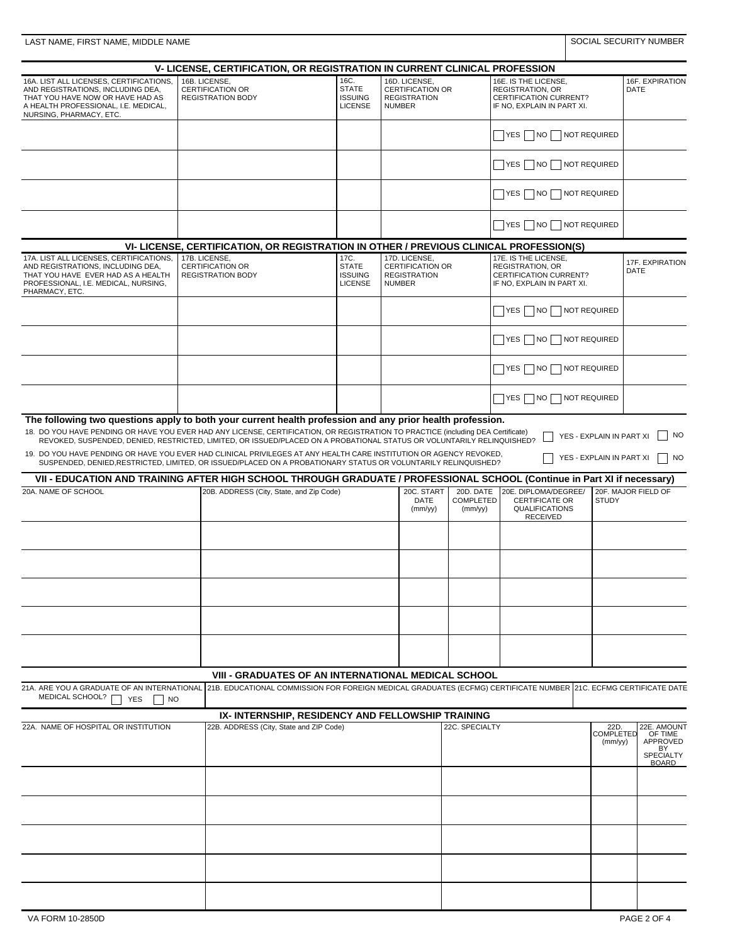|                                                                                                                                                                                     | V- LICENSE, CERTIFICATION, OR REGISTRATION IN CURRENT CLINICAL PROFESSION                                                                                                                                                                                  |                                                          |                                                                                  |                |                                                                                                                                                |                                     |                                          |
|-------------------------------------------------------------------------------------------------------------------------------------------------------------------------------------|------------------------------------------------------------------------------------------------------------------------------------------------------------------------------------------------------------------------------------------------------------|----------------------------------------------------------|----------------------------------------------------------------------------------|----------------|------------------------------------------------------------------------------------------------------------------------------------------------|-------------------------------------|------------------------------------------|
| 16A. LIST ALL LICENSES, CERTIFICATIONS,<br>AND REGISTRATIONS, INCLUDING DEA,<br>THAT YOU HAVE NOW OR HAVE HAD AS<br>A HEALTH PROFESSIONAL, I.E. MEDICAL,<br>NURSING, PHARMACY, ETC. | 16B. LICENSE,<br><b>CERTIFICATION OR</b><br><b>REGISTRATION BODY</b>                                                                                                                                                                                       | 16C.<br><b>STATE</b><br><b>ISSUING</b><br><b>LICENSE</b> | 16D. LICENSE.<br><b>CERTIFICATION OR</b><br><b>REGISTRATION</b><br><b>NUMBER</b> |                | 16E. IS THE LICENSE,<br><b>REGISTRATION, OR</b><br><b>CERTIFICATION CURRENT?</b><br>IF NO, EXPLAIN IN PART XI.                                 |                                     | 16F. EXPIRATION<br>DATE                  |
|                                                                                                                                                                                     |                                                                                                                                                                                                                                                            |                                                          |                                                                                  |                | $\Box$ YES $\Box$ NO $\Box$ NOT REQUIRED                                                                                                       |                                     |                                          |
|                                                                                                                                                                                     |                                                                                                                                                                                                                                                            |                                                          |                                                                                  |                | YES NO NOT REQUIRED                                                                                                                            |                                     |                                          |
|                                                                                                                                                                                     |                                                                                                                                                                                                                                                            |                                                          |                                                                                  |                | $\Box$ YES $\Box$ NO $\Box$ NOT REQUIRED                                                                                                       |                                     |                                          |
|                                                                                                                                                                                     |                                                                                                                                                                                                                                                            |                                                          |                                                                                  |                | YES NO NOT REQUIRED                                                                                                                            |                                     |                                          |
|                                                                                                                                                                                     | VI- LICENSE, CERTIFICATION, OR REGISTRATION IN OTHER / PREVIOUS CLINICAL PROFESSION(S)                                                                                                                                                                     |                                                          |                                                                                  |                |                                                                                                                                                |                                     |                                          |
| 17A. LIST ALL LICENSES, CERTIFICATIONS,<br>AND REGISTRATIONS, INCLUDING DEA,                                                                                                        | 17B. LICENSE,<br><b>CERTIFICATION OR</b>                                                                                                                                                                                                                   | 17C.<br><b>STATE</b>                                     | 17D. LICENSE,<br><b>CERTIFICATION OR</b>                                         |                | 17E. IS THE LICENSE,<br><b>REGISTRATION, OR</b>                                                                                                |                                     | 17F. EXPIRATION<br>DATE                  |
| THAT YOU HAVE EVER HAD AS A HEALTH<br>PROFESSIONAL, I.E. MEDICAL, NURSING,<br>PHARMACY, ETC.                                                                                        | <b>REGISTRATION BODY</b>                                                                                                                                                                                                                                   | <b>ISSUING</b><br><b>LICENSE</b>                         | <b>REGISTRATION</b><br><b>NUMBER</b>                                             |                | <b>CERTIFICATION CURRENT?</b><br>IF NO, EXPLAIN IN PART XI.                                                                                    |                                     |                                          |
|                                                                                                                                                                                     |                                                                                                                                                                                                                                                            |                                                          |                                                                                  |                | YES NO                                                                                                                                         | NOT REQUIRED                        |                                          |
|                                                                                                                                                                                     |                                                                                                                                                                                                                                                            |                                                          |                                                                                  |                | YES   NO   NOT REQUIRED                                                                                                                        |                                     |                                          |
|                                                                                                                                                                                     |                                                                                                                                                                                                                                                            |                                                          |                                                                                  |                | YES    NO    NOT REQUIRED                                                                                                                      |                                     |                                          |
|                                                                                                                                                                                     |                                                                                                                                                                                                                                                            |                                                          |                                                                                  |                | YES   NO   NOT REQUIRED                                                                                                                        |                                     |                                          |
| The following two questions apply to both your current health profession and any prior health profession.                                                                           | 18. DO YOU HAVE PENDING OR HAVE YOU EVER HAD ANY LICENSE, CERTIFICATION, OR REGISTRATION TO PRACTICE (including DEA Certificate)<br>REVOKED, SUSPENDED, DENIED, RESTRICTED, LIMITED, OR ISSUED/PLACED ON A PROBATIONAL STATUS OR VOLUNTARILY RELINQUISHED? |                                                          |                                                                                  |                |                                                                                                                                                | YES - EXPLAIN IN PART XI            | NO.                                      |
|                                                                                                                                                                                     | 19. DO YOU HAVE PENDING OR HAVE YOU EVER HAD CLINICAL PRIVILEGES AT ANY HEALTH CARE INSTITUTION OR AGENCY REVOKED,<br>SUSPENDED, DENIED, RESTRICTED, LIMITED, OR ISSUED/PLACED ON A PROBATIONARY STATUS OR VOLUNTARILY RELINQUISHED?                       |                                                          |                                                                                  |                |                                                                                                                                                | YES - EXPLAIN IN PART XI            | $\overline{\phantom{a}}$ NO              |
|                                                                                                                                                                                     | VII - EDUCATION AND TRAINING AFTER HIGH SCHOOL THROUGH GRADUATE / PROFESSIONAL SCHOOL (Continue in Part XI if necessary)                                                                                                                                   |                                                          |                                                                                  |                |                                                                                                                                                |                                     |                                          |
| 20A. NAME OF SCHOOL                                                                                                                                                                 |                                                                                                                                                                                                                                                            | 20B. ADDRESS (City, State, and Zip Code)                 |                                                                                  |                | 20E. DIPLOMA/DEGREE/<br>20D. DATE<br><b>COMPLETED</b><br><b>CERTIFICATE OR</b><br><b>STUDY</b><br>QUALIFICATIONS<br>(mm/yy)<br><b>RECEIVED</b> |                                     | 20F. MAJOR FIELD OF                      |
|                                                                                                                                                                                     |                                                                                                                                                                                                                                                            |                                                          |                                                                                  |                |                                                                                                                                                |                                     |                                          |
|                                                                                                                                                                                     |                                                                                                                                                                                                                                                            |                                                          |                                                                                  |                |                                                                                                                                                |                                     |                                          |
|                                                                                                                                                                                     |                                                                                                                                                                                                                                                            |                                                          |                                                                                  |                |                                                                                                                                                |                                     |                                          |
|                                                                                                                                                                                     |                                                                                                                                                                                                                                                            |                                                          |                                                                                  |                |                                                                                                                                                |                                     |                                          |
|                                                                                                                                                                                     |                                                                                                                                                                                                                                                            |                                                          |                                                                                  |                |                                                                                                                                                |                                     |                                          |
|                                                                                                                                                                                     | <b>VIII - GRADUATES OF AN INTERNATIONAL MEDICAL SCHOOL</b>                                                                                                                                                                                                 |                                                          |                                                                                  |                |                                                                                                                                                |                                     |                                          |
| 21A. ARE YOU A GRADUATE OF AN INTERNATIONAL<br>MEDICAL SCHOOL?<br>YES<br>$\vert$ $\vert$ NO                                                                                         | 21B. EDUCATIONAL COMMISSION FOR FOREIGN MEDICAL GRADUATES (ECFMG) CERTIFICATE NUMBER 21C. ECFMG CERTIFICATE DATE                                                                                                                                           |                                                          |                                                                                  |                |                                                                                                                                                |                                     |                                          |
|                                                                                                                                                                                     | IX- INTERNSHIP, RESIDENCY AND FELLOWSHIP TRAINING                                                                                                                                                                                                          |                                                          |                                                                                  |                |                                                                                                                                                |                                     |                                          |
| 22A. NAME OF HOSPITAL OR INSTITUTION                                                                                                                                                | 22B. ADDRESS (City, State and ZIP Code)                                                                                                                                                                                                                    |                                                          |                                                                                  | 22C. SPECIALTY |                                                                                                                                                | 22D.<br><b>COMPLETED</b><br>(mm/yy) | 22E. AMOUNT<br>OF TIME<br>APPROVED<br>BY |
|                                                                                                                                                                                     |                                                                                                                                                                                                                                                            |                                                          |                                                                                  |                |                                                                                                                                                |                                     | <b>SPECIALTY</b><br><b>BOARD</b>         |
|                                                                                                                                                                                     |                                                                                                                                                                                                                                                            |                                                          |                                                                                  |                |                                                                                                                                                |                                     |                                          |
|                                                                                                                                                                                     |                                                                                                                                                                                                                                                            |                                                          |                                                                                  |                |                                                                                                                                                |                                     |                                          |
|                                                                                                                                                                                     |                                                                                                                                                                                                                                                            |                                                          |                                                                                  |                |                                                                                                                                                |                                     |                                          |
|                                                                                                                                                                                     |                                                                                                                                                                                                                                                            |                                                          |                                                                                  |                |                                                                                                                                                |                                     |                                          |
|                                                                                                                                                                                     |                                                                                                                                                                                                                                                            |                                                          |                                                                                  |                |                                                                                                                                                |                                     |                                          |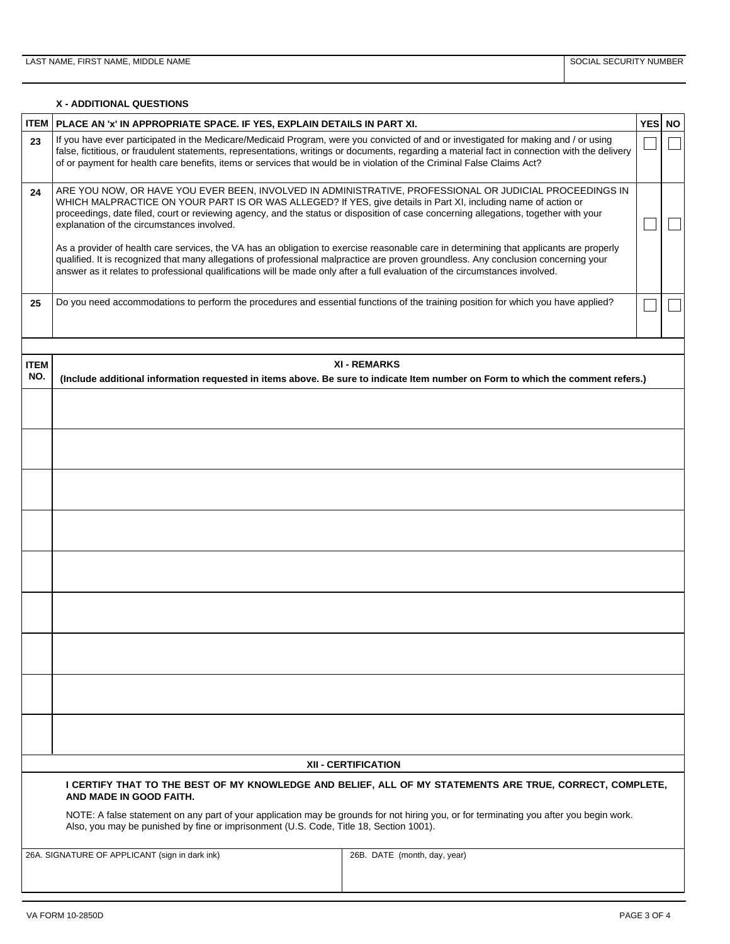## **X - ADDITIONAL QUESTIONS**

| <b>ITEM</b>        | PLACE AN 'x' IN APPROPRIATE SPACE. IF YES, EXPLAIN DETAILS IN PART XI.                                                                                                                                                                                                                                                                                                                                          |                                                                                                                                                        | <b>YES</b> | <b>NO</b> |  |  |  |  |
|--------------------|-----------------------------------------------------------------------------------------------------------------------------------------------------------------------------------------------------------------------------------------------------------------------------------------------------------------------------------------------------------------------------------------------------------------|--------------------------------------------------------------------------------------------------------------------------------------------------------|------------|-----------|--|--|--|--|
| 23                 | If you have ever participated in the Medicare/Medicaid Program, were you convicted of and or investigated for making and / or using<br>of or payment for health care benefits, items or services that would be in violation of the Criminal False Claims Act?                                                                                                                                                   | false, fictitious, or fraudulent statements, representations, writings or documents, regarding a material fact in connection with the delivery         |            |           |  |  |  |  |
|                    |                                                                                                                                                                                                                                                                                                                                                                                                                 |                                                                                                                                                        |            |           |  |  |  |  |
| 24                 | ARE YOU NOW, OR HAVE YOU EVER BEEN, INVOLVED IN ADMINISTRATIVE, PROFESSIONAL OR JUDICIAL PROCEEDINGS IN<br>WHICH MALPRACTICE ON YOUR PART IS OR WAS ALLEGED? If YES, give details in Part XI, including name of action or<br>proceedings, date filed, court or reviewing agency, and the status or disposition of case concerning allegations, together with your<br>explanation of the circumstances involved. |                                                                                                                                                        |            |           |  |  |  |  |
|                    | As a provider of health care services, the VA has an obligation to exercise reasonable care in determining that applicants are properly<br>qualified. It is recognized that many allegations of professional malpractice are proven groundless. Any conclusion concerning your<br>answer as it relates to professional qualifications will be made only after a full evaluation of the circumstances involved.  |                                                                                                                                                        |            |           |  |  |  |  |
| 25                 | Do you need accommodations to perform the procedures and essential functions of the training position for which you have applied?                                                                                                                                                                                                                                                                               |                                                                                                                                                        |            |           |  |  |  |  |
|                    |                                                                                                                                                                                                                                                                                                                                                                                                                 |                                                                                                                                                        |            |           |  |  |  |  |
| <b>ITEM</b><br>NO. |                                                                                                                                                                                                                                                                                                                                                                                                                 | <b>XI - REMARKS</b><br>(Include additional information requested in items above. Be sure to indicate Item number on Form to which the comment refers.) |            |           |  |  |  |  |
|                    |                                                                                                                                                                                                                                                                                                                                                                                                                 |                                                                                                                                                        |            |           |  |  |  |  |
|                    |                                                                                                                                                                                                                                                                                                                                                                                                                 |                                                                                                                                                        |            |           |  |  |  |  |
|                    |                                                                                                                                                                                                                                                                                                                                                                                                                 |                                                                                                                                                        |            |           |  |  |  |  |
|                    |                                                                                                                                                                                                                                                                                                                                                                                                                 |                                                                                                                                                        |            |           |  |  |  |  |
|                    |                                                                                                                                                                                                                                                                                                                                                                                                                 |                                                                                                                                                        |            |           |  |  |  |  |
|                    |                                                                                                                                                                                                                                                                                                                                                                                                                 |                                                                                                                                                        |            |           |  |  |  |  |
|                    |                                                                                                                                                                                                                                                                                                                                                                                                                 |                                                                                                                                                        |            |           |  |  |  |  |
|                    |                                                                                                                                                                                                                                                                                                                                                                                                                 |                                                                                                                                                        |            |           |  |  |  |  |
|                    |                                                                                                                                                                                                                                                                                                                                                                                                                 |                                                                                                                                                        |            |           |  |  |  |  |
|                    |                                                                                                                                                                                                                                                                                                                                                                                                                 | <b>XII - CERTIFICATION</b>                                                                                                                             |            |           |  |  |  |  |
|                    | I CERTIFY THAT TO THE BEST OF MY KNOWLEDGE AND BELIEF, ALL OF MY STATEMENTS ARE TRUE, CORRECT, COMPLETE,<br>AND MADE IN GOOD FAITH.                                                                                                                                                                                                                                                                             |                                                                                                                                                        |            |           |  |  |  |  |
|                    | NOTE: A false statement on any part of your application may be grounds for not hiring you, or for terminating you after you begin work.<br>Also, you may be punished by fine or imprisonment (U.S. Code, Title 18, Section 1001).                                                                                                                                                                               |                                                                                                                                                        |            |           |  |  |  |  |
|                    | 26A. SIGNATURE OF APPLICANT (sign in dark ink)                                                                                                                                                                                                                                                                                                                                                                  | 26B. DATE (month, day, year)                                                                                                                           |            |           |  |  |  |  |